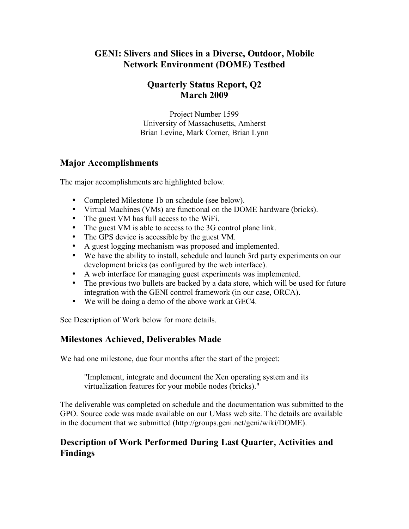# **GENI: Slivers and Slices in a Diverse, Outdoor, Mobile Network Environment (DOME) Testbed**

### **Quarterly Status Report, Q2 March 2009**

Project Number 1599 University of Massachusetts, Amherst Brian Levine, Mark Corner, Brian Lynn

## **Major Accomplishments**

The major accomplishments are highlighted below.

- Completed Milestone 1b on schedule (see below).
- Virtual Machines (VMs) are functional on the DOME hardware (bricks).
- The guest VM has full access to the WiFi.
- The guest VM is able to access to the 3G control plane link.
- The GPS device is accessible by the guest VM.
- A guest logging mechanism was proposed and implemented.
- We have the ability to install, schedule and launch 3rd party experiments on our development bricks (as configured by the web interface).
- A web interface for managing guest experiments was implemented.
- The previous two bullets are backed by a data store, which will be used for future integration with the GENI control framework (in our case, ORCA).
- We will be doing a demo of the above work at GEC4.

See Description of Work below for more details.

# **Milestones Achieved, Deliverables Made**

We had one milestone, due four months after the start of the project:

"Implement, integrate and document the Xen operating system and its virtualization features for your mobile nodes (bricks)."

The deliverable was completed on schedule and the documentation was submitted to the GPO. Source code was made available on our UMass web site. The details are available in the document that we submitted (http://groups.geni.net/geni/wiki/DOME).

## **Description of Work Performed During Last Quarter, Activities and Findings**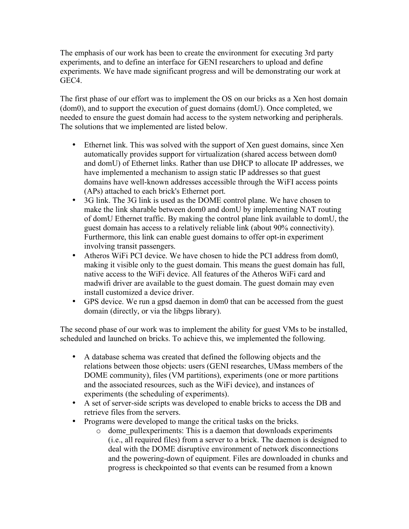The emphasis of our work has been to create the environment for executing 3rd party experiments, and to define an interface for GENI researchers to upload and define experiments. We have made significant progress and will be demonstrating our work at GEC4.

The first phase of our effort was to implement the OS on our bricks as a Xen host domain (dom0), and to support the execution of guest domains (domU). Once completed, we needed to ensure the guest domain had access to the system networking and peripherals. The solutions that we implemented are listed below.

- Ethernet link. This was solved with the support of Xen guest domains, since Xen automatically provides support for virtualization (shared access between dom0 and domU) of Ethernet links. Rather than use DHCP to allocate IP addresses, we have implemented a mechanism to assign static IP addresses so that guest domains have well-known addresses accessible through the WiFI access points (APs) attached to each brick's Ethernet port.
- 3G link. The 3G link is used as the DOME control plane. We have chosen to make the link sharable between dom0 and domU by implementing NAT routing of domU Ethernet traffic. By making the control plane link available to domU, the guest domain has access to a relatively reliable link (about 90% connectivity). Furthermore, this link can enable guest domains to offer opt-in experiment involving transit passengers.
- Atheros WiFi PCI device. We have chosen to hide the PCI address from dom0, making it visible only to the guest domain. This means the guest domain has full, native access to the WiFi device. All features of the Atheros WiFi card and madwifi driver are available to the guest domain. The guest domain may even install customized a device driver.
- GPS device. We run a gpsd daemon in dom0 that can be accessed from the guest domain (directly, or via the libgps library).

The second phase of our work was to implement the ability for guest VMs to be installed, scheduled and launched on bricks. To achieve this, we implemented the following.

- A database schema was created that defined the following objects and the relations between those objects: users (GENI researches, UMass members of the DOME community), files (VM partitions), experiments (one or more partitions and the associated resources, such as the WiFi device), and instances of experiments (the scheduling of experiments).
- A set of server-side scripts was developed to enable bricks to access the DB and retrieve files from the servers.
- Programs were developed to mange the critical tasks on the bricks.
	- o dome\_pullexperiments: This is a daemon that downloads experiments (i.e., all required files) from a server to a brick. The daemon is designed to deal with the DOME disruptive environment of network disconnections and the powering-down of equipment. Files are downloaded in chunks and progress is checkpointed so that events can be resumed from a known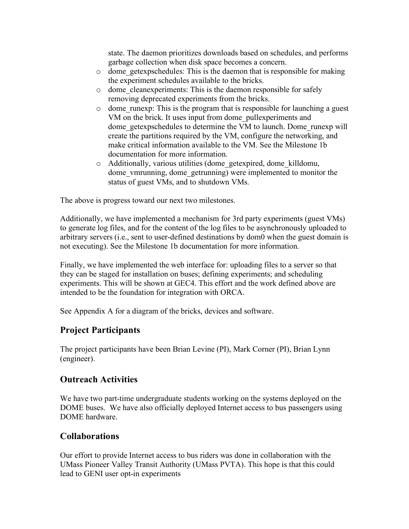state. The daemon prioritizes downloads based on schedules, and performs garbage collection when disk space becomes a concern.

- o dome\_getexpschedules: This is the daemon that is responsible for making the experiment schedules available to the bricks.
- $\circ$  dome cleanexperiments: This is the daemon responsible for safely removing deprecated experiments from the bricks.
- $\circ$  dome runexp: This is the program that is responsible for launching a guest VM on the brick. It uses input from dome\_pullexperiments and dome\_getexpschedules to determine the VM to launch. Dome\_runexp will create the partitions required by the VM, configure the networking, and make critical information available to the VM. See the Milestone 1b documentation for more information.
- o Additionally, various utilities (dome\_getexpired, dome\_killdomu, dome vmrunning, dome getrunning) were implemented to monitor the status of guest VMs, and to shutdown VMs.

The above is progress toward our next two milestones.

Additionally, we have implemented a mechanism for 3rd party experiments (guest VMs) to generate log files, and for the content of the log files to be asynchronously uploaded to arbitrary servers (i.e., sent to user-defined destinations by dom0 when the guest domain is not executing). See the Milestone 1b documentation for more information.

Finally, we have implemented the web interface for: uploading files to a server so that they can be staged for installation on buses; defining experiments; and scheduling experiments. This will be shown at GEC4. This effort and the work defined above are intended to be the foundation for integration with ORCA.

See Appendix A for a diagram of the bricks, devices and software.

#### **Project Participants**

The project participants have been Brian Levine (PI), Mark Corner (PI), Brian Lynn (engineer).

#### **Outreach Activities**

We have two part-time undergraduate students working on the systems deployed on the DOME buses. We have also officially deployed Internet access to bus passengers using DOME hardware.

#### **Collaborations**

Our effort to provide Internet access to bus riders was done in collaboration with the UMass Pioneer Valley Transit Authority (UMass PVTA). This hope is that this could lead to GENI user opt-in experiments